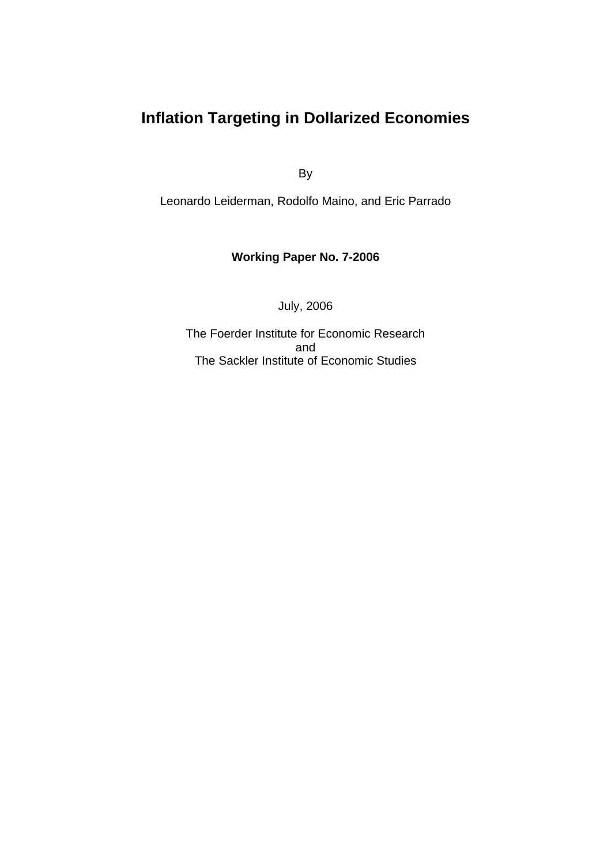# **Inflation Targeting in Dollarized Economies**

By

Leonardo Leiderman, Rodolfo Maino, and Eric Parrado

### **Working Paper No. 7-2006**

July, 2006

The Foerder Institute for Economic Research and The Sackler Institute of Economic Studies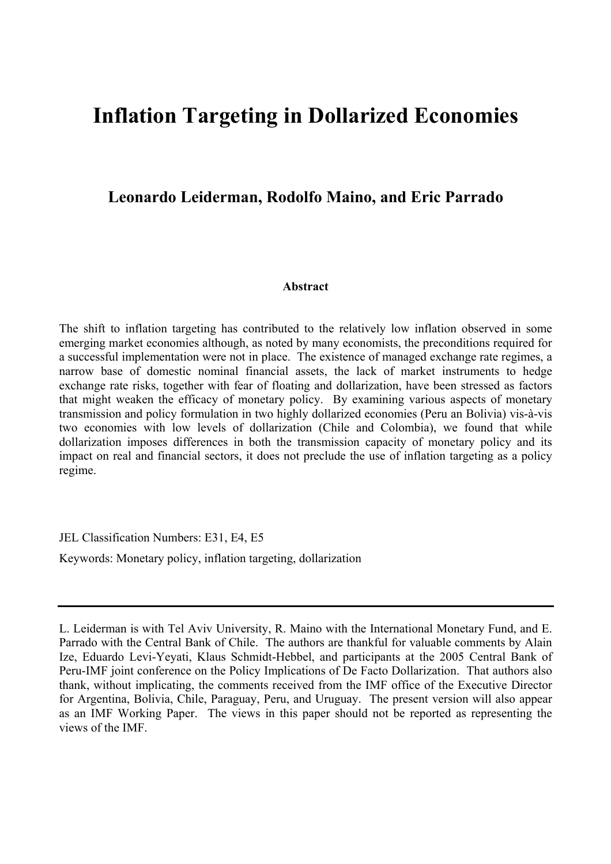# **Inflation Targeting in Dollarized Economies**

## **Leonardo Leiderman, Rodolfo Maino, and Eric Parrado**

#### **Abstract**

The shift to inflation targeting has contributed to the relatively low inflation observed in some emerging market economies although, as noted by many economists, the preconditions required for a successful implementation were not in place. The existence of managed exchange rate regimes, a narrow base of domestic nominal financial assets, the lack of market instruments to hedge exchange rate risks, together with fear of floating and dollarization, have been stressed as factors that might weaken the efficacy of monetary policy. By examining various aspects of monetary transmission and policy formulation in two highly dollarized economies (Peru an Bolivia) vis-à-vis two economies with low levels of dollarization (Chile and Colombia), we found that while dollarization imposes differences in both the transmission capacity of monetary policy and its impact on real and financial sectors, it does not preclude the use of inflation targeting as a policy regime.

JEL Classification Numbers: E31, E4, E5

Keywords: Monetary policy, inflation targeting, dollarization

L. Leiderman is with Tel Aviv University, R. Maino with the International Monetary Fund, and E. Parrado with the Central Bank of Chile. The authors are thankful for valuable comments by Alain Ize, Eduardo Levi-Yeyati, Klaus Schmidt-Hebbel, and participants at the 2005 Central Bank of Peru-IMF joint conference on the Policy Implications of De Facto Dollarization. That authors also thank, without implicating, the comments received from the IMF office of the Executive Director for Argentina, Bolivia, Chile, Paraguay, Peru, and Uruguay. The present version will also appear as an IMF Working Paper. The views in this paper should not be reported as representing the views of the IMF.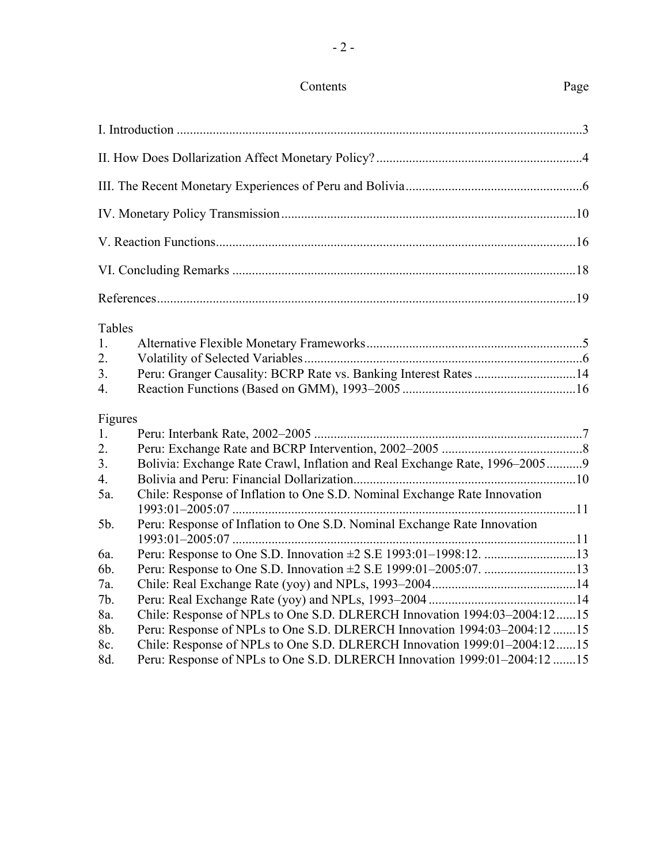## Contents Page

| Tables<br>1.<br>$\overline{2}$ .<br>3 <sub>1</sub><br>$\overline{4}$ . | Peru: Granger Causality: BCRP Rate vs. Banking Interest Rates 14           |  |  |  |
|------------------------------------------------------------------------|----------------------------------------------------------------------------|--|--|--|
| Figures                                                                |                                                                            |  |  |  |
| 1.                                                                     |                                                                            |  |  |  |
| $\overline{2}$ .                                                       |                                                                            |  |  |  |
| 3.<br>$\overline{4}$ .                                                 | Bolivia: Exchange Rate Crawl, Inflation and Real Exchange Rate, 1996–20059 |  |  |  |
| 5a.                                                                    | Chile: Response of Inflation to One S.D. Nominal Exchange Rate Innovation  |  |  |  |
| 5b.                                                                    | Peru: Response of Inflation to One S.D. Nominal Exchange Rate Innovation   |  |  |  |
| 6a.                                                                    |                                                                            |  |  |  |
| 6b.                                                                    |                                                                            |  |  |  |
| 7a.                                                                    |                                                                            |  |  |  |
| 7b.                                                                    |                                                                            |  |  |  |
| 8a.                                                                    | Chile: Response of NPLs to One S.D. DLRERCH Innovation 1994:03-2004:1215   |  |  |  |
| 8b.                                                                    | Peru: Response of NPLs to One S.D. DLRERCH Innovation 1994:03-2004:12 15   |  |  |  |
| 8c.                                                                    | Chile: Response of NPLs to One S.D. DLRERCH Innovation 1999:01-2004:1215   |  |  |  |
| 8d.                                                                    | Peru: Response of NPLs to One S.D. DLRERCH Innovation 1999:01-2004:12 15   |  |  |  |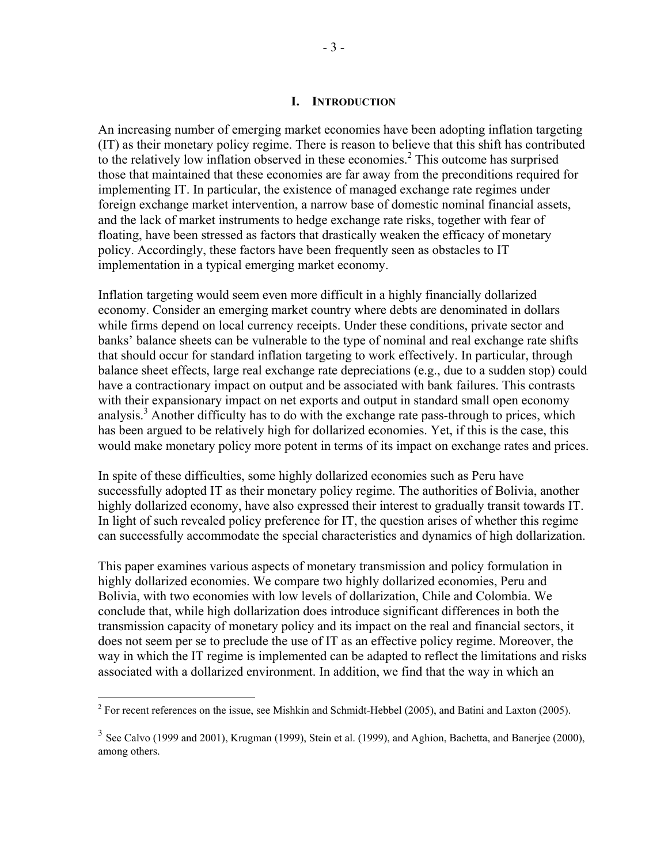#### **I. INTRODUCTION**

An increasing number of emerging market economies have been adopting inflation targeting (IT) as their monetary policy regime. There is reason to believe that this shift has contributed to the relatively low inflation observed in these economies.<sup>2</sup> This outcome has surprised those that maintained that these economies are far away from the preconditions required for implementing IT. In particular, the existence of managed exchange rate regimes under foreign exchange market intervention, a narrow base of domestic nominal financial assets, and the lack of market instruments to hedge exchange rate risks, together with fear of floating, have been stressed as factors that drastically weaken the efficacy of monetary policy. Accordingly, these factors have been frequently seen as obstacles to IT implementation in a typical emerging market economy.

Inflation targeting would seem even more difficult in a highly financially dollarized economy. Consider an emerging market country where debts are denominated in dollars while firms depend on local currency receipts. Under these conditions, private sector and banks' balance sheets can be vulnerable to the type of nominal and real exchange rate shifts that should occur for standard inflation targeting to work effectively. In particular, through balance sheet effects, large real exchange rate depreciations (e.g., due to a sudden stop) could have a contractionary impact on output and be associated with bank failures. This contrasts with their expansionary impact on net exports and output in standard small open economy analysis.<sup>3</sup> Another difficulty has to do with the exchange rate pass-through to prices, which has been argued to be relatively high for dollarized economies. Yet, if this is the case, this would make monetary policy more potent in terms of its impact on exchange rates and prices.

In spite of these difficulties, some highly dollarized economies such as Peru have successfully adopted IT as their monetary policy regime. The authorities of Bolivia, another highly dollarized economy, have also expressed their interest to gradually transit towards IT. In light of such revealed policy preference for IT, the question arises of whether this regime can successfully accommodate the special characteristics and dynamics of high dollarization.

This paper examines various aspects of monetary transmission and policy formulation in highly dollarized economies. We compare two highly dollarized economies, Peru and Bolivia, with two economies with low levels of dollarization, Chile and Colombia. We conclude that, while high dollarization does introduce significant differences in both the transmission capacity of monetary policy and its impact on the real and financial sectors, it does not seem per se to preclude the use of IT as an effective policy regime. Moreover, the way in which the IT regime is implemented can be adapted to reflect the limitations and risks associated with a dollarized environment. In addition, we find that the way in which an

<sup>&</sup>lt;sup>2</sup> For recent references on the issue, see Mishkin and Schmidt-Hebbel (2005), and Batini and Laxton (2005).

<sup>&</sup>lt;sup>3</sup> See Calvo (1999 and 2001), Krugman (1999), Stein et al. (1999), and Aghion, Bachetta, and Banerjee (2000), among others.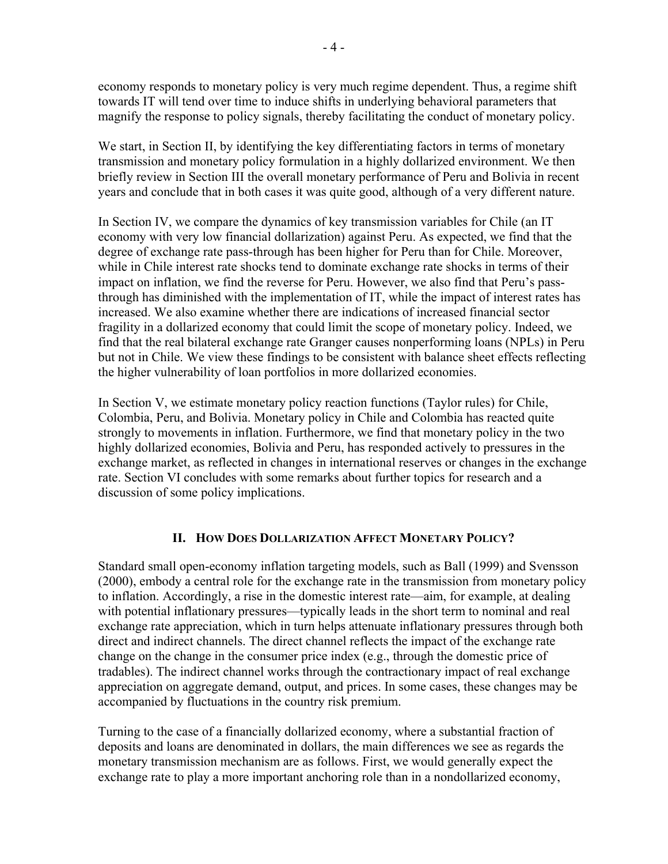economy responds to monetary policy is very much regime dependent. Thus, a regime shift towards IT will tend over time to induce shifts in underlying behavioral parameters that magnify the response to policy signals, thereby facilitating the conduct of monetary policy.

We start, in Section II, by identifying the key differentiating factors in terms of monetary transmission and monetary policy formulation in a highly dollarized environment. We then briefly review in Section III the overall monetary performance of Peru and Bolivia in recent years and conclude that in both cases it was quite good, although of a very different nature.

In Section IV, we compare the dynamics of key transmission variables for Chile (an IT economy with very low financial dollarization) against Peru. As expected, we find that the degree of exchange rate pass-through has been higher for Peru than for Chile. Moreover, while in Chile interest rate shocks tend to dominate exchange rate shocks in terms of their impact on inflation, we find the reverse for Peru. However, we also find that Peru's passthrough has diminished with the implementation of IT, while the impact of interest rates has increased. We also examine whether there are indications of increased financial sector fragility in a dollarized economy that could limit the scope of monetary policy. Indeed, we find that the real bilateral exchange rate Granger causes nonperforming loans (NPLs) in Peru but not in Chile. We view these findings to be consistent with balance sheet effects reflecting the higher vulnerability of loan portfolios in more dollarized economies.

In Section V, we estimate monetary policy reaction functions (Taylor rules) for Chile, Colombia, Peru, and Bolivia. Monetary policy in Chile and Colombia has reacted quite strongly to movements in inflation. Furthermore, we find that monetary policy in the two highly dollarized economies, Bolivia and Peru, has responded actively to pressures in the exchange market, as reflected in changes in international reserves or changes in the exchange rate. Section VI concludes with some remarks about further topics for research and a discussion of some policy implications.

#### **II. HOW DOES DOLLARIZATION AFFECT MONETARY POLICY?**

Standard small open-economy inflation targeting models, such as Ball (1999) and Svensson (2000), embody a central role for the exchange rate in the transmission from monetary policy to inflation. Accordingly, a rise in the domestic interest rate—aim, for example, at dealing with potential inflationary pressures—typically leads in the short term to nominal and real exchange rate appreciation, which in turn helps attenuate inflationary pressures through both direct and indirect channels. The direct channel reflects the impact of the exchange rate change on the change in the consumer price index (e.g., through the domestic price of tradables). The indirect channel works through the contractionary impact of real exchange appreciation on aggregate demand, output, and prices. In some cases, these changes may be accompanied by fluctuations in the country risk premium.

Turning to the case of a financially dollarized economy, where a substantial fraction of deposits and loans are denominated in dollars, the main differences we see as regards the monetary transmission mechanism are as follows. First, we would generally expect the exchange rate to play a more important anchoring role than in a nondollarized economy,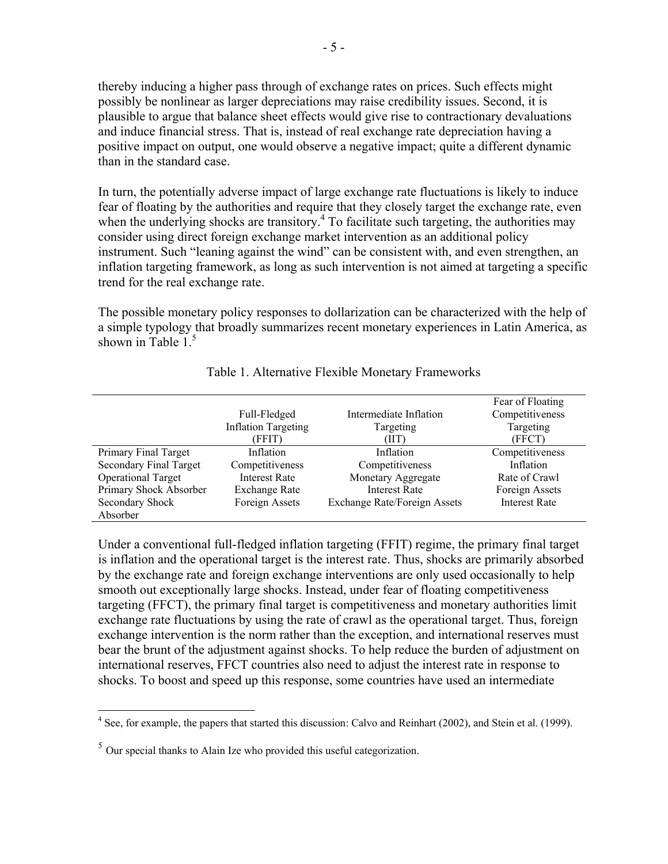thereby inducing a higher pass through of exchange rates on prices. Such effects might possibly be nonlinear as larger depreciations may raise credibility issues. Second, it is plausible to argue that balance sheet effects would give rise to contractionary devaluations and induce financial stress. That is, instead of real exchange rate depreciation having a positive impact on output, one would observe a negative impact; quite a different dynamic than in the standard case.

In turn, the potentially adverse impact of large exchange rate fluctuations is likely to induce fear of floating by the authorities and require that they closely target the exchange rate, even when the underlying shocks are transitory.<sup>4</sup> To facilitate such targeting, the authorities may consider using direct foreign exchange market intervention as an additional policy instrument. Such "leaning against the wind" can be consistent with, and even strengthen, an inflation targeting framework, as long as such intervention is not aimed at targeting a specific trend for the real exchange rate.

The possible monetary policy responses to dollarization can be characterized with the help of a simple typology that broadly summarizes recent monetary experiences in Latin America, as shown in Table  $1<sup>5</sup>$ 

|                               | Full-Fledged<br><b>Inflation Targeting</b><br>(FFIT) | Intermediate Inflation<br>Targeting<br>(IIT) | Fear of Floating<br>Competitiveness<br>Targeting<br>(FFCT) |
|-------------------------------|------------------------------------------------------|----------------------------------------------|------------------------------------------------------------|
| Primary Final Target          | Inflation                                            | Inflation                                    | Competitiveness                                            |
| <b>Secondary Final Target</b> | Competitiveness                                      | Competitiveness                              | Inflation                                                  |
| <b>Operational Target</b>     | <b>Interest Rate</b>                                 | Monetary Aggregate                           | Rate of Crawl                                              |
| Primary Shock Absorber        | <b>Exchange Rate</b>                                 | <b>Interest Rate</b>                         | Foreign Assets                                             |
| Secondary Shock               | Foreign Assets                                       | <b>Exchange Rate/Foreign Assets</b>          | <b>Interest Rate</b>                                       |
| Absorber                      |                                                      |                                              |                                                            |

#### Table 1. Alternative Flexible Monetary Frameworks

Under a conventional full-fledged inflation targeting (FFIT) regime, the primary final target is inflation and the operational target is the interest rate. Thus, shocks are primarily absorbed by the exchange rate and foreign exchange interventions are only used occasionally to help smooth out exceptionally large shocks. Instead, under fear of floating competitiveness targeting (FFCT), the primary final target is competitiveness and monetary authorities limit exchange rate fluctuations by using the rate of crawl as the operational target. Thus, foreign exchange intervention is the norm rather than the exception, and international reserves must bear the brunt of the adjustment against shocks. To help reduce the burden of adjustment on international reserves, FFCT countries also need to adjust the interest rate in response to shocks. To boost and speed up this response, some countries have used an intermediate

<sup>&</sup>lt;sup>4</sup> See, for example, the papers that started this discussion: Calvo and Reinhart (2002), and Stein et al. (1999).

 $<sup>5</sup>$  Our special thanks to Alain Ize who provided this useful categorization.</sup>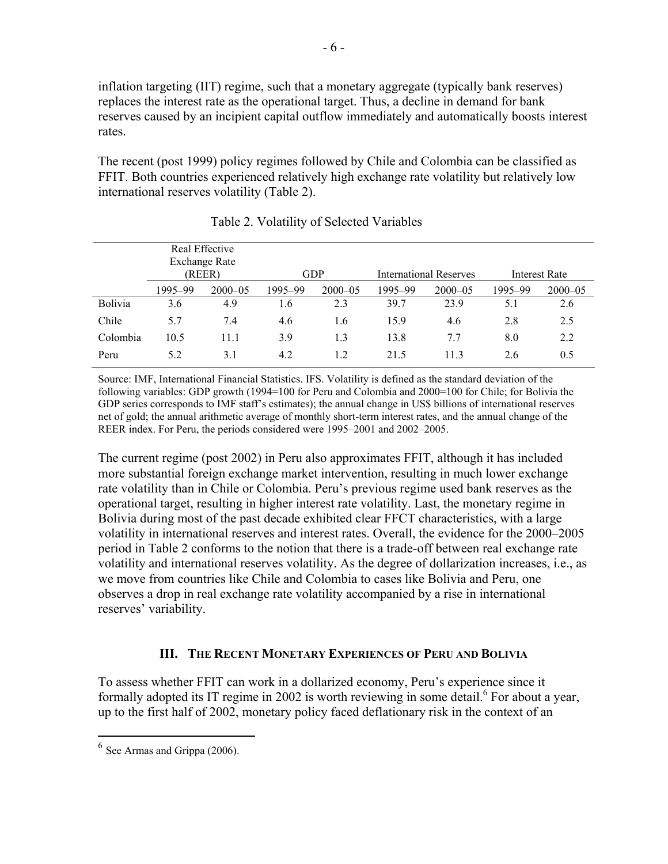inflation targeting (IIT) regime, such that a monetary aggregate (typically bank reserves) replaces the interest rate as the operational target. Thus, a decline in demand for bank reserves caused by an incipient capital outflow immediately and automatically boosts interest rates.

The recent (post 1999) policy regimes followed by Chile and Colombia can be classified as FFIT. Both countries experienced relatively high exchange rate volatility but relatively low international reserves volatility (Table 2).

|          | Real Effective<br><b>Exchange Rate</b><br>(REER) |             |         | <b>GDP</b>  |         | International Reserves |         | Interest Rate |
|----------|--------------------------------------------------|-------------|---------|-------------|---------|------------------------|---------|---------------|
|          | 1995-99                                          | $2000 - 05$ | 1995-99 | $2000 - 05$ | 1995-99 | $2000 - 05$            | 1995–99 | $2000 - 05$   |
| Bolivia  | 3.6                                              | 4.9         | 1.6     | 2.3         | 39.7    | 23.9                   | 5.1     | 2.6           |
| Chile    | 5.7                                              | 7.4         | 4.6     | 1.6         | 15.9    | 4.6                    | 2.8     | 2.5           |
| Colombia | 10.5                                             | 11.1        | 3.9     | 1.3         | 13.8    | 7.7                    | 8.0     | 2.2           |
| Peru     | 5.2                                              | 3.1         | 4.2     | 1.2         | 21.5    | 11.3                   | 2.6     | 0.5           |

Table 2. Volatility of Selected Variables

Source: IMF, International Financial Statistics. IFS. Volatility is defined as the standard deviation of the following variables: GDP growth (1994=100 for Peru and Colombia and 2000=100 for Chile; for Bolivia the GDP series corresponds to IMF staff's estimates); the annual change in US\$ billions of international reserves net of gold; the annual arithmetic average of monthly short-term interest rates, and the annual change of the REER index. For Peru, the periods considered were 1995–2001 and 2002–2005.

The current regime (post 2002) in Peru also approximates FFIT, although it has included more substantial foreign exchange market intervention, resulting in much lower exchange rate volatility than in Chile or Colombia. Peru's previous regime used bank reserves as the operational target, resulting in higher interest rate volatility. Last, the monetary regime in Bolivia during most of the past decade exhibited clear FFCT characteristics, with a large volatility in international reserves and interest rates. Overall, the evidence for the 2000–2005 period in Table 2 conforms to the notion that there is a trade-off between real exchange rate volatility and international reserves volatility. As the degree of dollarization increases, i.e., as we move from countries like Chile and Colombia to cases like Bolivia and Peru, one observes a drop in real exchange rate volatility accompanied by a rise in international reserves' variability.

### **III. THE RECENT MONETARY EXPERIENCES OF PERU AND BOLIVIA**

To assess whether FFIT can work in a dollarized economy, Peru's experience since it formally adopted its IT regime in 2002 is worth reviewing in some detail.<sup>6</sup> For about a year, up to the first half of 2002, monetary policy faced deflationary risk in the context of an

 $<sup>6</sup>$  See Armas and Grippa (2006).</sup>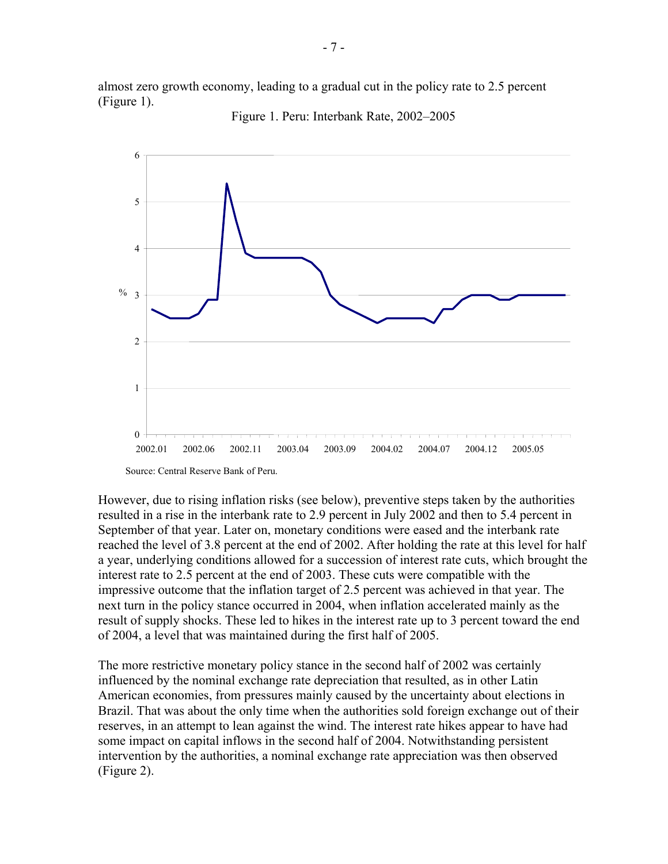almost zero growth economy, leading to a gradual cut in the policy rate to 2.5 percent (Figure 1).





However, due to rising inflation risks (see below), preventive steps taken by the authorities resulted in a rise in the interbank rate to 2.9 percent in July 2002 and then to 5.4 percent in September of that year. Later on, monetary conditions were eased and the interbank rate reached the level of 3.8 percent at the end of 2002. After holding the rate at this level for half a year, underlying conditions allowed for a succession of interest rate cuts, which brought the interest rate to 2.5 percent at the end of 2003. These cuts were compatible with the impressive outcome that the inflation target of 2.5 percent was achieved in that year. The next turn in the policy stance occurred in 2004, when inflation accelerated mainly as the result of supply shocks. These led to hikes in the interest rate up to 3 percent toward the end of 2004, a level that was maintained during the first half of 2005.

The more restrictive monetary policy stance in the second half of 2002 was certainly influenced by the nominal exchange rate depreciation that resulted, as in other Latin American economies, from pressures mainly caused by the uncertainty about elections in Brazil. That was about the only time when the authorities sold foreign exchange out of their reserves, in an attempt to lean against the wind. The interest rate hikes appear to have had some impact on capital inflows in the second half of 2004. Notwithstanding persistent intervention by the authorities, a nominal exchange rate appreciation was then observed (Figure 2).

Source: Central Reserve Bank of Peru.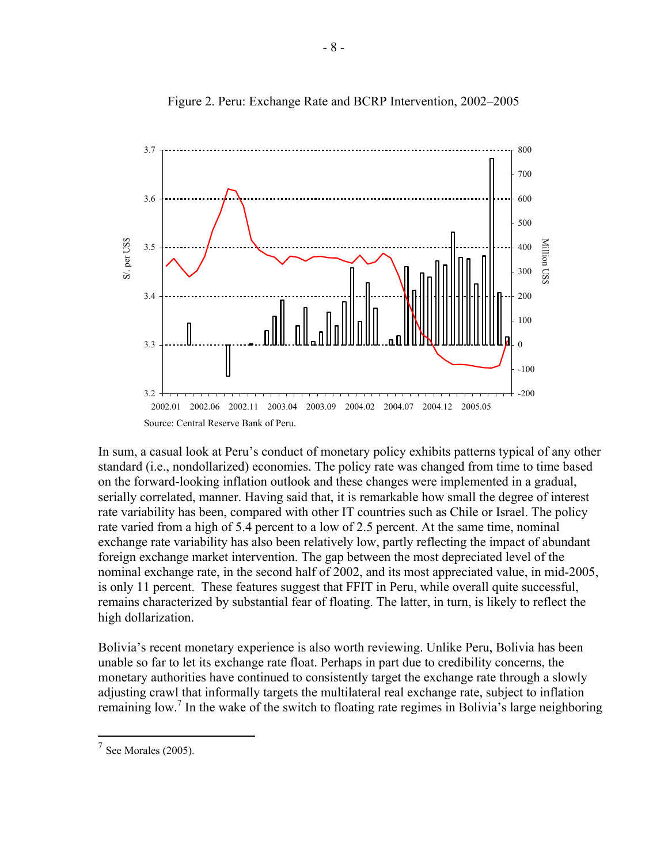

Figure 2. Peru: Exchange Rate and BCRP Intervention, 2002–2005

In sum, a casual look at Peru's conduct of monetary policy exhibits patterns typical of any other standard (i.e., nondollarized) economies. The policy rate was changed from time to time based on the forward-looking inflation outlook and these changes were implemented in a gradual, serially correlated, manner. Having said that, it is remarkable how small the degree of interest rate variability has been, compared with other IT countries such as Chile or Israel. The policy rate varied from a high of 5.4 percent to a low of 2.5 percent. At the same time, nominal exchange rate variability has also been relatively low, partly reflecting the impact of abundant foreign exchange market intervention. The gap between the most depreciated level of the nominal exchange rate, in the second half of 2002, and its most appreciated value, in mid-2005, is only 11 percent. These features suggest that FFIT in Peru, while overall quite successful, remains characterized by substantial fear of floating. The latter, in turn, is likely to reflect the high dollarization.

Bolivia's recent monetary experience is also worth reviewing. Unlike Peru, Bolivia has been unable so far to let its exchange rate float. Perhaps in part due to credibility concerns, the monetary authorities have continued to consistently target the exchange rate through a slowly adjusting crawl that informally targets the multilateral real exchange rate, subject to inflation remaining low.<sup>7</sup> In the wake of the switch to floating rate regimes in Bolivia's large neighboring

 $<sup>7</sup>$  See Morales (2005).</sup>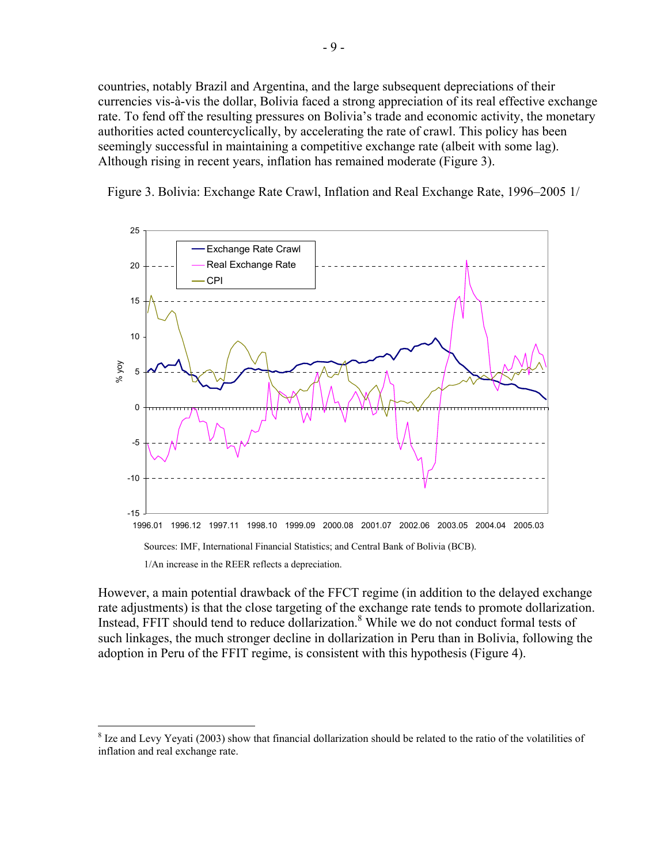countries, notably Brazil and Argentina, and the large subsequent depreciations of their currencies vis-à-vis the dollar, Bolivia faced a strong appreciation of its real effective exchange rate. To fend off the resulting pressures on Bolivia's trade and economic activity, the monetary authorities acted countercyclically, by accelerating the rate of crawl. This policy has been seemingly successful in maintaining a competitive exchange rate (albeit with some lag). Although rising in recent years, inflation has remained moderate (Figure 3).

Figure 3. Bolivia: Exchange Rate Crawl, Inflation and Real Exchange Rate, 1996–2005 1/



However, a main potential drawback of the FFCT regime (in addition to the delayed exchange rate adjustments) is that the close targeting of the exchange rate tends to promote dollarization. Instead, FFIT should tend to reduce dollarization.<sup>8</sup> While we do not conduct formal tests of such linkages, the much stronger decline in dollarization in Peru than in Bolivia, following the adoption in Peru of the FFIT regime, is consistent with this hypothesis (Figure 4).

 $8$  Ize and Levy Yeyati (2003) show that financial dollarization should be related to the ratio of the volatilities of inflation and real exchange rate.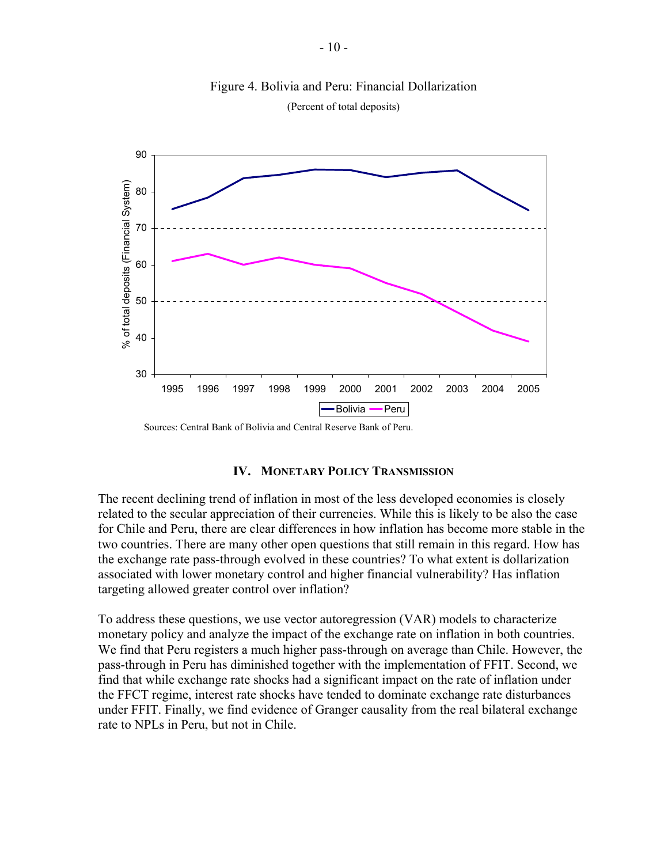

#### Figure 4. Bolivia and Peru: Financial Dollarization (Percent of total deposits)

Sources: Central Bank of Bolivia and Central Reserve Bank of Peru.

#### **IV. MONETARY POLICY TRANSMISSION**

The recent declining trend of inflation in most of the less developed economies is closely related to the secular appreciation of their currencies. While this is likely to be also the case for Chile and Peru, there are clear differences in how inflation has become more stable in the two countries. There are many other open questions that still remain in this regard. How has the exchange rate pass-through evolved in these countries? To what extent is dollarization associated with lower monetary control and higher financial vulnerability? Has inflation targeting allowed greater control over inflation?

To address these questions, we use vector autoregression (VAR) models to characterize monetary policy and analyze the impact of the exchange rate on inflation in both countries. We find that Peru registers a much higher pass-through on average than Chile. However, the pass-through in Peru has diminished together with the implementation of FFIT. Second, we find that while exchange rate shocks had a significant impact on the rate of inflation under the FFCT regime, interest rate shocks have tended to dominate exchange rate disturbances under FFIT. Finally, we find evidence of Granger causality from the real bilateral exchange rate to NPLs in Peru, but not in Chile.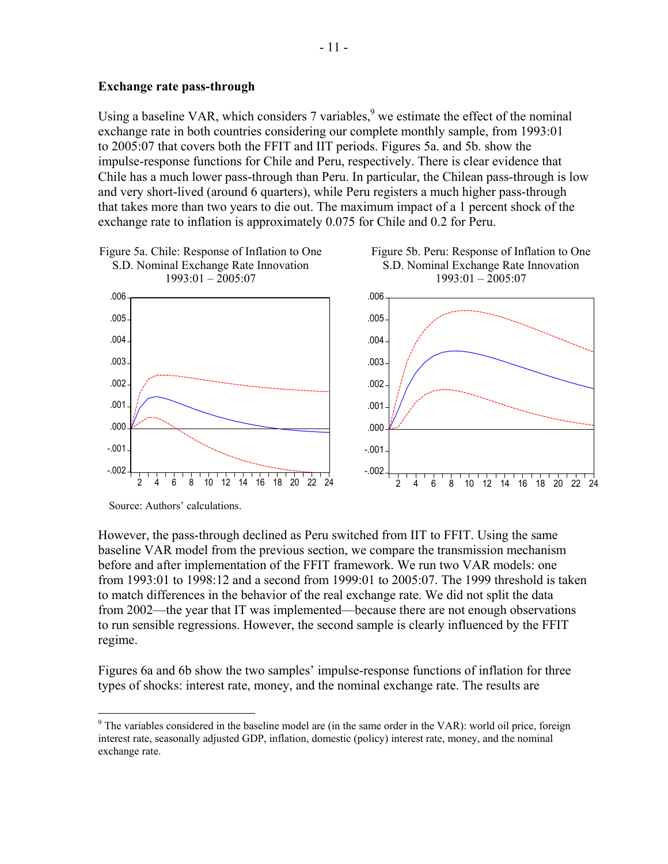#### **Exchange rate pass-through**

Using a baseline VAR, which considers  $7$  variables,  $9$  we estimate the effect of the nominal exchange rate in both countries considering our complete monthly sample, from 1993:01 to 2005:07 that covers both the FFIT and IIT periods. Figures 5a. and 5b. show the impulse-response functions for Chile and Peru, respectively. There is clear evidence that Chile has a much lower pass-through than Peru. In particular, the Chilean pass-through is low and very short-lived (around 6 quarters), while Peru registers a much higher pass-through that takes more than two years to die out. The maximum impact of a 1 percent shock of the exchange rate to inflation is approximately 0.075 for Chile and 0.2 for Peru.



Source: Authors' calculations.

<u>.</u>

However, the pass-through declined as Peru switched from IIT to FFIT. Using the same baseline VAR model from the previous section, we compare the transmission mechanism before and after implementation of the FFIT framework. We run two VAR models: one from 1993:01 to 1998:12 and a second from 1999:01 to 2005:07. The 1999 threshold is taken to match differences in the behavior of the real exchange rate. We did not split the data from 2002—the year that IT was implemented—because there are not enough observations to run sensible regressions. However, the second sample is clearly influenced by the FFIT regime.

Figures 6a and 6b show the two samples' impulse-response functions of inflation for three types of shocks: interest rate, money, and the nominal exchange rate. The results are

<sup>&</sup>lt;sup>9</sup> The variables considered in the baseline model are (in the same order in the VAR): world oil price, foreign interest rate, seasonally adjusted GDP, inflation, domestic (policy) interest rate, money, and the nominal exchange rate.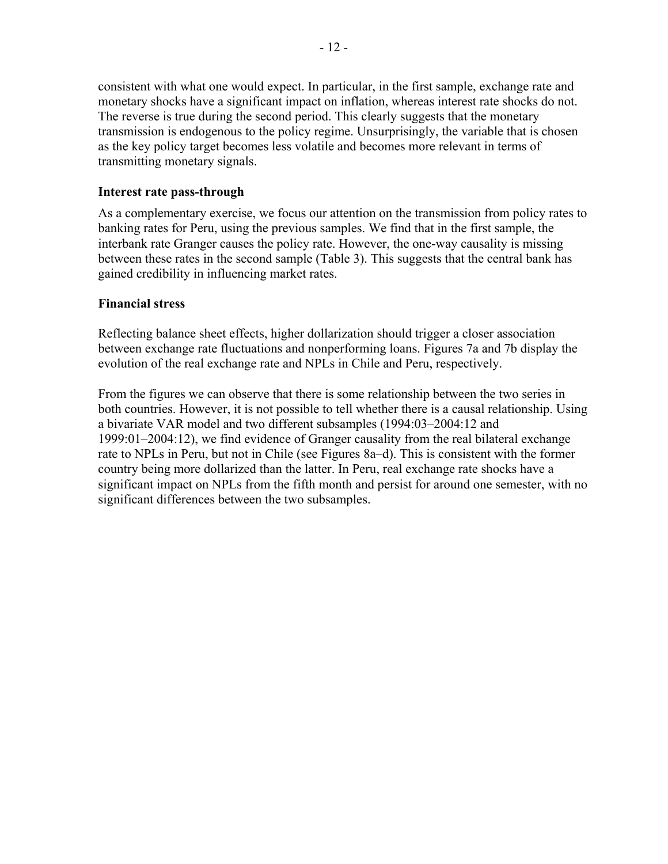consistent with what one would expect. In particular, in the first sample, exchange rate and monetary shocks have a significant impact on inflation, whereas interest rate shocks do not. The reverse is true during the second period. This clearly suggests that the monetary transmission is endogenous to the policy regime. Unsurprisingly, the variable that is chosen as the key policy target becomes less volatile and becomes more relevant in terms of transmitting monetary signals.

#### **Interest rate pass-through**

As a complementary exercise, we focus our attention on the transmission from policy rates to banking rates for Peru, using the previous samples. We find that in the first sample, the interbank rate Granger causes the policy rate. However, the one-way causality is missing between these rates in the second sample (Table 3). This suggests that the central bank has gained credibility in influencing market rates.

#### **Financial stress**

Reflecting balance sheet effects, higher dollarization should trigger a closer association between exchange rate fluctuations and nonperforming loans. Figures 7a and 7b display the evolution of the real exchange rate and NPLs in Chile and Peru, respectively.

From the figures we can observe that there is some relationship between the two series in both countries. However, it is not possible to tell whether there is a causal relationship. Using a bivariate VAR model and two different subsamples (1994:03–2004:12 and 1999:01–2004:12), we find evidence of Granger causality from the real bilateral exchange rate to NPLs in Peru, but not in Chile (see Figures 8a–d). This is consistent with the former country being more dollarized than the latter. In Peru, real exchange rate shocks have a significant impact on NPLs from the fifth month and persist for around one semester, with no significant differences between the two subsamples.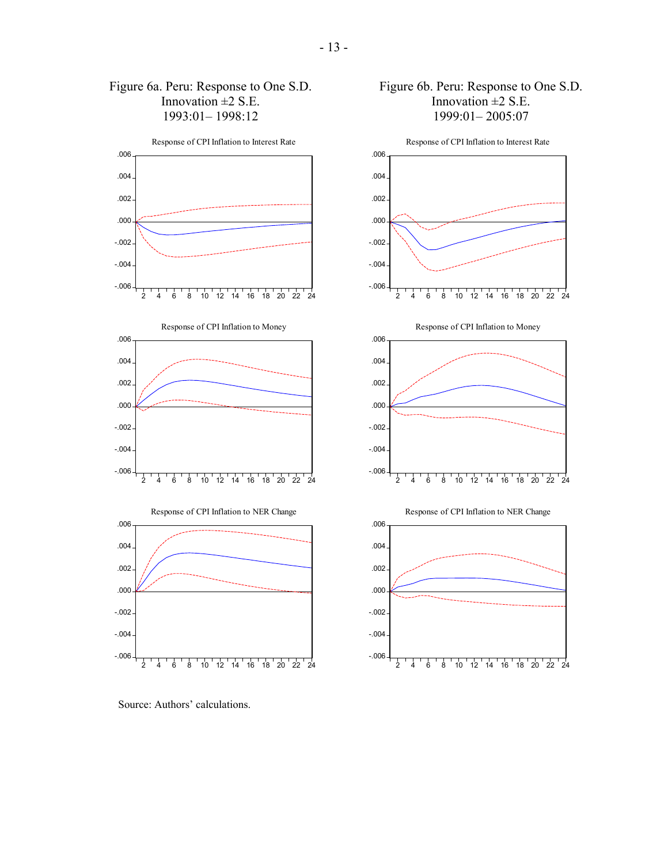

Source: Authors' calculations.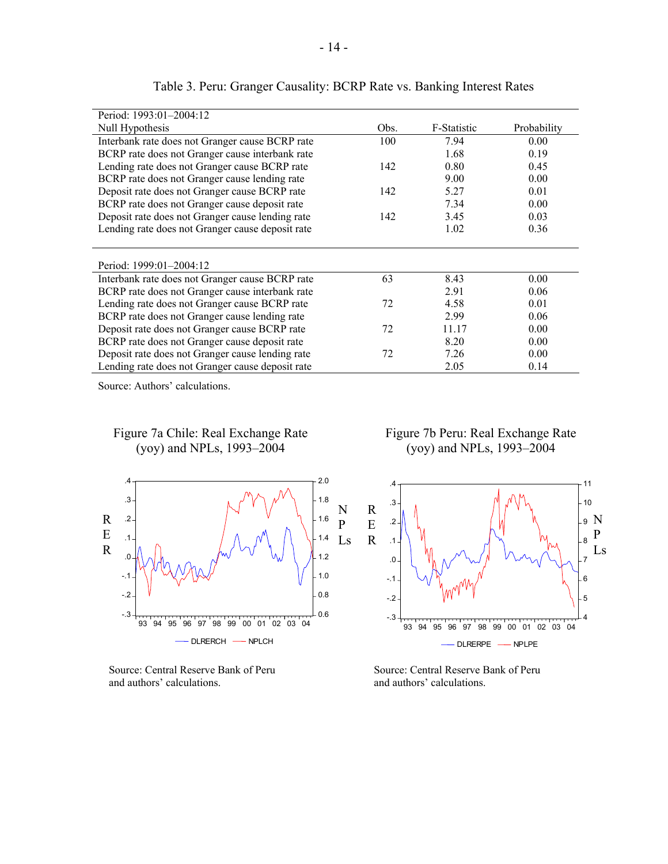| Period: 1993:01-2004:12                          |      |             |             |
|--------------------------------------------------|------|-------------|-------------|
| Null Hypothesis                                  | Obs. | F-Statistic | Probability |
| Interbank rate does not Granger cause BCRP rate  | 100  | 7.94        | 0.00        |
| BCRP rate does not Granger cause interbank rate  |      | 1.68        | 0.19        |
| Lending rate does not Granger cause BCRP rate    | 142  | 0.80        | 0.45        |
| BCRP rate does not Granger cause lending rate    |      | 9.00        | 0.00        |
| Deposit rate does not Granger cause BCRP rate    | 142  | 5.27        | 0.01        |
| BCRP rate does not Granger cause deposit rate    |      | 7.34        | 0.00        |
| Deposit rate does not Granger cause lending rate | 142  | 3.45        | 0.03        |
| Lending rate does not Granger cause deposit rate |      | 1.02        | 0.36        |
|                                                  |      |             |             |
|                                                  |      |             |             |
| Period: 1999:01-2004:12                          |      |             |             |
| Interbank rate does not Granger cause BCRP rate  | 63   | 8.43        | 0.00        |
| BCRP rate does not Granger cause interbank rate  |      | 2.91        | 0.06        |
| Lending rate does not Granger cause BCRP rate    | 72   | 4.58        | 0.01        |
| BCRP rate does not Granger cause lending rate    |      | 2.99        | 0.06        |
| Deposit rate does not Granger cause BCRP rate    | 72   | 11.17       | 0.00        |
| BCRP rate does not Granger cause deposit rate    |      | 8.20        | 0.00        |
| Deposit rate does not Granger cause lending rate | 72   | 7.26        | 0.00        |
| Lending rate does not Granger cause deposit rate |      | 2.05        | 0.14        |

#### Table 3. Peru: Granger Causality: BCRP Rate vs. Banking Interest Rates

Source: Authors' calculations.

#### Figure 7a Chile: Real Exchange Rate (yoy) and NPLs, 1993–2004



and authors' calculations.  $\qquad \qquad$  and authors' calculations.

 Figure 7b Peru: Real Exchange Rate (yoy) and NPLs, 1993–2004



Source: Central Reserve Bank of Peru Source: Central Reserve Bank of Peru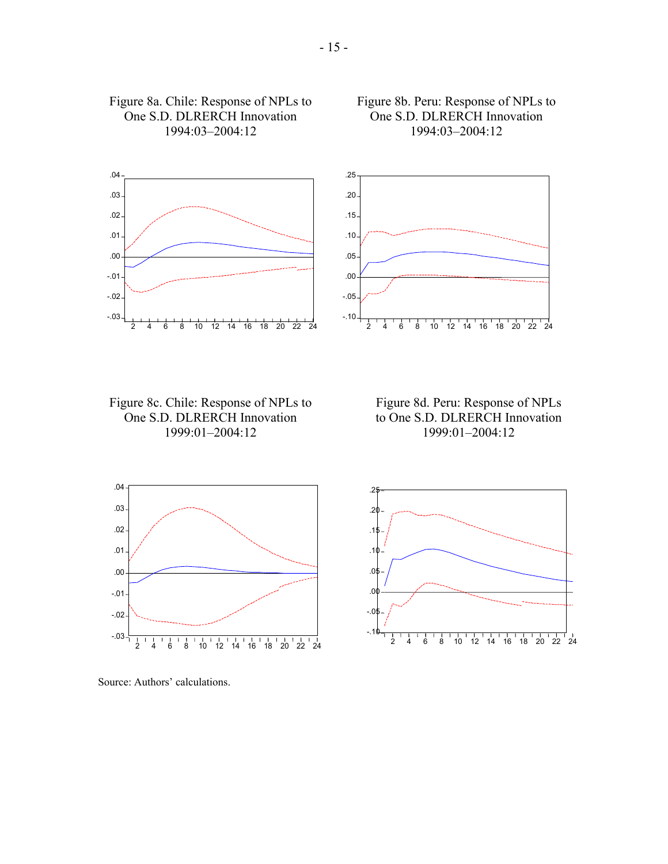

#### Figure 8c. Chile: Response of NPLs to One S.D. DLRERCH Innovation 1999:01–2004:12

Figure 8a. Chile: Response of NPLs to One S.D. DLRERCH Innovation 1994:03–2004:12



 Figure 8b. Peru: Response of NPLs to One S.D. DLRERCH Innovation 1994:03–2004:12



Source: Authors' calculations.

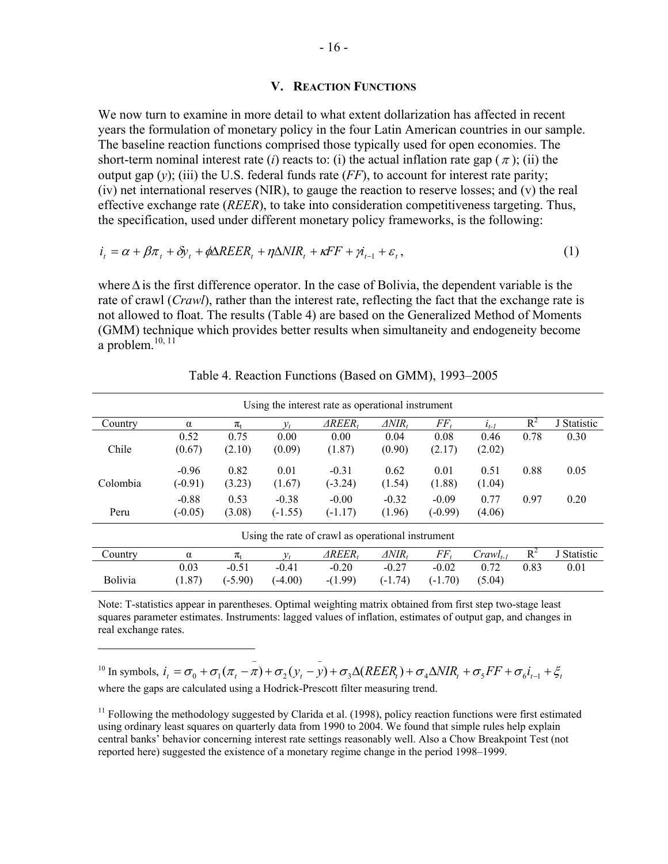#### **V. REACTION FUNCTIONS**

We now turn to examine in more detail to what extent dollarization has affected in recent years the formulation of monetary policy in the four Latin American countries in our sample. The baseline reaction functions comprised those typically used for open economies. The short-term nominal interest rate (*i*) reacts to: (*i*) the actual inflation rate gap ( $\pi$ ); (*ii*) the output gap  $(v)$ ; (iii) the U.S. federal funds rate  $(FF)$ , to account for interest rate parity; (iv) net international reserves (NIR), to gauge the reaction to reserve losses; and (v) the real effective exchange rate (*REER*), to take into consideration competitiveness targeting. Thus, the specification, used under different monetary policy frameworks, is the following:

$$
i_{t} = \alpha + \beta \pi_{t} + \delta y_{t} + \phi \Delta REER_{t} + \eta \Delta NIR_{t} + \kappa FF + \gamma i_{t-1} + \varepsilon_{t},
$$
\n
$$
\tag{1}
$$

where∆is the first difference operator. In the case of Bolivia, the dependent variable is the rate of crawl (*Crawl*), rather than the interest rate, reflecting the fact that the exchange rate is not allowed to float. The results (Table 4) are based on the Generalized Method of Moments (GMM) technique which provides better results when simultaneity and endogeneity become a problem. $10, 11$ 

| Using the interest rate as operational instrument |           |               |           |                    |                     |           |                    |       |             |
|---------------------------------------------------|-----------|---------------|-----------|--------------------|---------------------|-----------|--------------------|-------|-------------|
| Country                                           | $\alpha$  | $\pi_{\rm t}$ |           | AREER.             | $\triangle NIR_{t}$ | $FF_t$    | $l_{t-1}$          | $R^2$ | J Statistic |
|                                                   | 0.52      | 0.75          | 0.00      | 0.00               | 0.04                | 0.08      | 0.46               | 0.78  | 0.30        |
| Chile                                             | (0.67)    | (2.10)        | (0.09)    | (1.87)             | (0.90)              | (2.17)    | (2.02)             |       |             |
|                                                   | $-0.96$   | 0.82          | 0.01      | $-0.31$            | 0.62                | 0.01      | 0.51               | 0.88  | 0.05        |
| Colombia                                          | $(-0.91)$ | (3.23)        | (1.67)    | $(-3.24)$          | (1.54)              | (1.88)    | (1.04)             |       |             |
|                                                   | $-0.88$   | 0.53          | $-0.38$   | $-0.00$            | $-0.32$             | $-0.09$   | 0.77               | 0.97  | 0.20        |
| Peru                                              | $(-0.05)$ | (3.08)        | $(-1.55)$ | $(-1.17)$          | (1.96)              | $(-0.99)$ | (4.06)             |       |             |
| Using the rate of crawl as operational instrument |           |               |           |                    |                     |           |                    |       |             |
| Country                                           | $\alpha$  | $\pi_{t}$     |           | $\triangle REER_t$ | $\triangle NIR_t$   | $FF_t$    | $C \in \llbracket$ | $R^2$ | J Statistic |
|                                                   | 0.03      | $-0.51$       | $-0.41$   | $-0.20$            | $-0.27$             | $-0.02$   | 0.72               | 0.83  | 0.01        |
| Bolivia                                           | (1.87)    | $(-5.90)$     | $(-4.00)$ | $-(1.99)$          | $(-1.74)$           | $(-1.70)$ | (5.04)             |       |             |

Table 4. Reaction Functions (Based on GMM), 1993–2005

Note: T-statistics appear in parentheses. Optimal weighting matrix obtained from first step two-stage least squares parameter estimates. Instruments: lagged values of inflation, estimates of output gap, and changes in real exchange rates.

<sup>10</sup> In symbols,  $i_t = \sigma_0 + \sigma_1(\pi_t - \pi) + \sigma_2(y_t - y) + \sigma_3 \Delta (REER_t) + \sigma_4 \Delta NIR_t + \sigma_5 FF + \sigma_6 i_{t-1} + \xi_t$ where the gaps are calculated using a Hodrick-Prescott filter measuring trend.

 $\overline{a}$ 

 $11$  Following the methodology suggested by Clarida et al. (1998), policy reaction functions were first estimated using ordinary least squares on quarterly data from 1990 to 2004. We found that simple rules help explain central banks' behavior concerning interest rate settings reasonably well. Also a Chow Breakpoint Test (not reported here) suggested the existence of a monetary regime change in the period 1998–1999.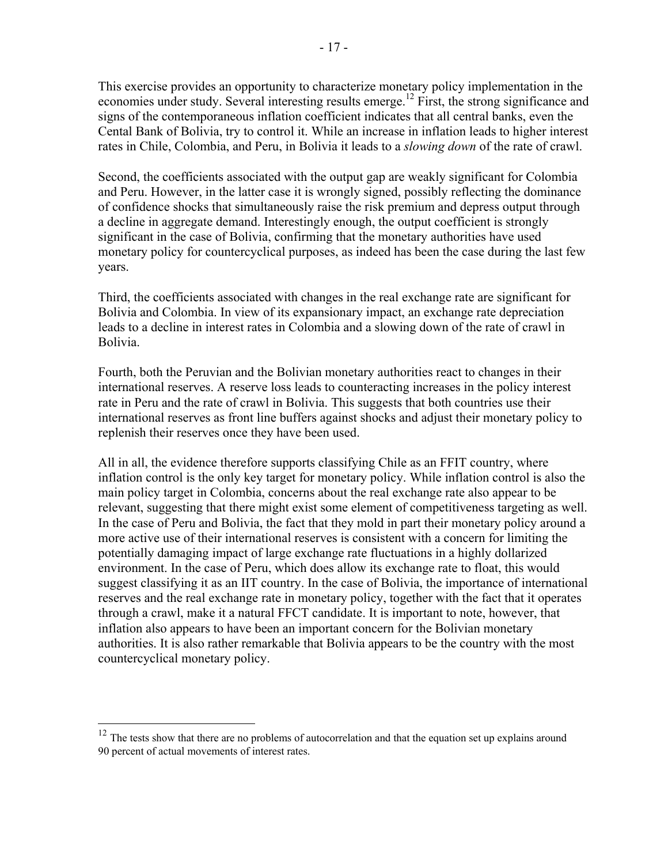This exercise provides an opportunity to characterize monetary policy implementation in the economies under study. Several interesting results emerge.<sup>12</sup> First, the strong significance and signs of the contemporaneous inflation coefficient indicates that all central banks, even the Cental Bank of Bolivia, try to control it. While an increase in inflation leads to higher interest rates in Chile, Colombia, and Peru, in Bolivia it leads to a *slowing down* of the rate of crawl.

Second, the coefficients associated with the output gap are weakly significant for Colombia and Peru. However, in the latter case it is wrongly signed, possibly reflecting the dominance of confidence shocks that simultaneously raise the risk premium and depress output through a decline in aggregate demand. Interestingly enough, the output coefficient is strongly significant in the case of Bolivia, confirming that the monetary authorities have used monetary policy for countercyclical purposes, as indeed has been the case during the last few years.

Third, the coefficients associated with changes in the real exchange rate are significant for Bolivia and Colombia. In view of its expansionary impact, an exchange rate depreciation leads to a decline in interest rates in Colombia and a slowing down of the rate of crawl in Bolivia.

Fourth, both the Peruvian and the Bolivian monetary authorities react to changes in their international reserves. A reserve loss leads to counteracting increases in the policy interest rate in Peru and the rate of crawl in Bolivia. This suggests that both countries use their international reserves as front line buffers against shocks and adjust their monetary policy to replenish their reserves once they have been used.

All in all, the evidence therefore supports classifying Chile as an FFIT country, where inflation control is the only key target for monetary policy. While inflation control is also the main policy target in Colombia, concerns about the real exchange rate also appear to be relevant, suggesting that there might exist some element of competitiveness targeting as well. In the case of Peru and Bolivia, the fact that they mold in part their monetary policy around a more active use of their international reserves is consistent with a concern for limiting the potentially damaging impact of large exchange rate fluctuations in a highly dollarized environment. In the case of Peru, which does allow its exchange rate to float, this would suggest classifying it as an IIT country. In the case of Bolivia, the importance of international reserves and the real exchange rate in monetary policy, together with the fact that it operates through a crawl, make it a natural FFCT candidate. It is important to note, however, that inflation also appears to have been an important concern for the Bolivian monetary authorities. It is also rather remarkable that Bolivia appears to be the country with the most countercyclical monetary policy.

<sup>&</sup>lt;sup>12</sup> The tests show that there are no problems of autocorrelation and that the equation set up explains around 90 percent of actual movements of interest rates.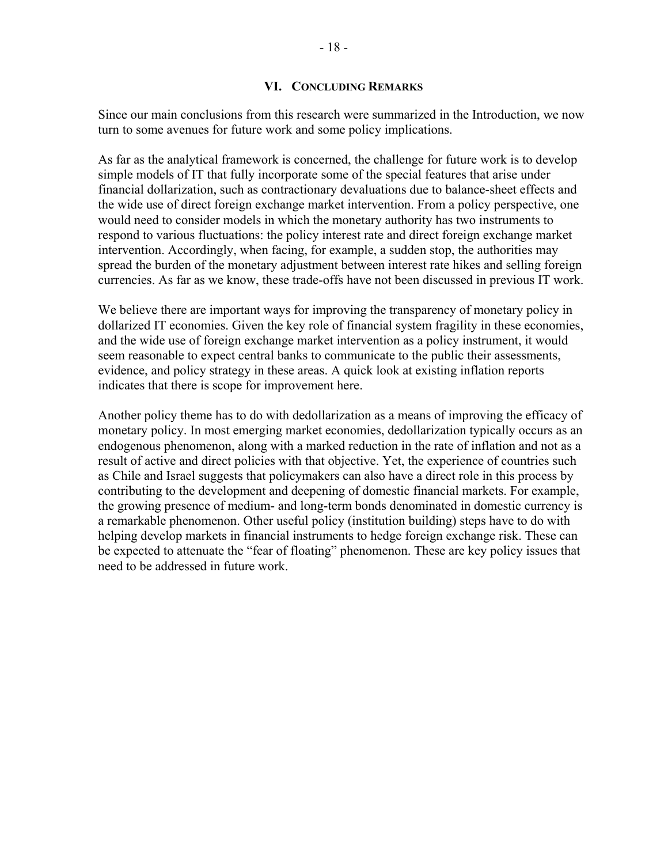#### **VI. CONCLUDING REMARKS**

Since our main conclusions from this research were summarized in the Introduction, we now turn to some avenues for future work and some policy implications.

As far as the analytical framework is concerned, the challenge for future work is to develop simple models of IT that fully incorporate some of the special features that arise under financial dollarization, such as contractionary devaluations due to balance-sheet effects and the wide use of direct foreign exchange market intervention. From a policy perspective, one would need to consider models in which the monetary authority has two instruments to respond to various fluctuations: the policy interest rate and direct foreign exchange market intervention. Accordingly, when facing, for example, a sudden stop, the authorities may spread the burden of the monetary adjustment between interest rate hikes and selling foreign currencies. As far as we know, these trade-offs have not been discussed in previous IT work.

We believe there are important ways for improving the transparency of monetary policy in dollarized IT economies. Given the key role of financial system fragility in these economies, and the wide use of foreign exchange market intervention as a policy instrument, it would seem reasonable to expect central banks to communicate to the public their assessments, evidence, and policy strategy in these areas. A quick look at existing inflation reports indicates that there is scope for improvement here.

Another policy theme has to do with dedollarization as a means of improving the efficacy of monetary policy. In most emerging market economies, dedollarization typically occurs as an endogenous phenomenon, along with a marked reduction in the rate of inflation and not as a result of active and direct policies with that objective. Yet, the experience of countries such as Chile and Israel suggests that policymakers can also have a direct role in this process by contributing to the development and deepening of domestic financial markets. For example, the growing presence of medium- and long-term bonds denominated in domestic currency is a remarkable phenomenon. Other useful policy (institution building) steps have to do with helping develop markets in financial instruments to hedge foreign exchange risk. These can be expected to attenuate the "fear of floating" phenomenon. These are key policy issues that need to be addressed in future work.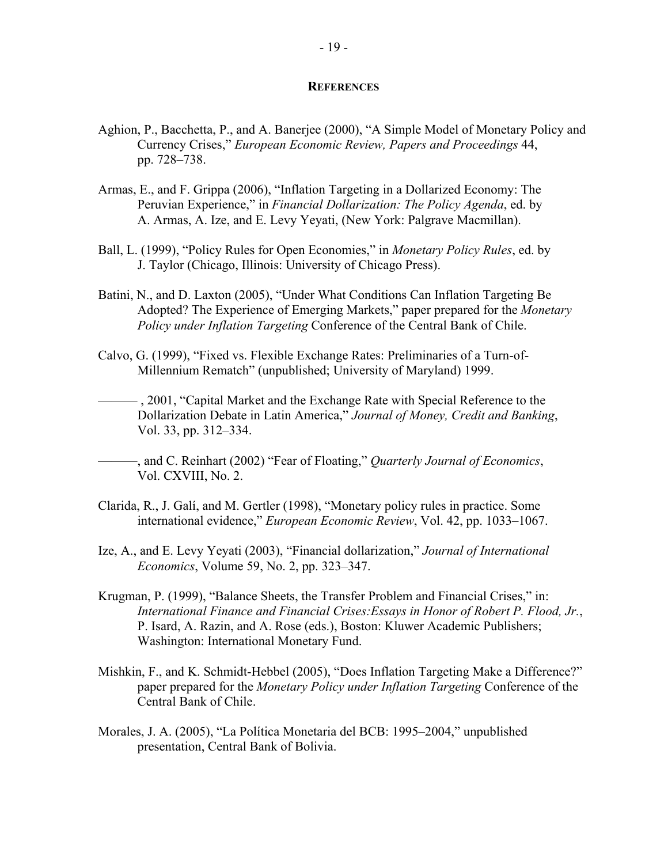#### **REFERENCES**

- Aghion, P., Bacchetta, P., and A. Banerjee (2000), "A Simple Model of Monetary Policy and Currency Crises," *European Economic Review, Papers and Proceedings* 44, pp. 728–738.
- Armas, E., and F. Grippa (2006), "Inflation Targeting in a Dollarized Economy: The Peruvian Experience," in *Financial Dollarization: The Policy Agenda*, ed. by A. Armas, A. Ize, and E. Levy Yeyati, (New York: Palgrave Macmillan).
- Ball, L. (1999), "Policy Rules for Open Economies," in *Monetary Policy Rules*, ed. by J. Taylor (Chicago, Illinois: University of Chicago Press).
- Batini, N., and D. Laxton (2005), "Under What Conditions Can Inflation Targeting Be Adopted? The Experience of Emerging Markets," paper prepared for the *Monetary Policy under Inflation Targeting* Conference of the Central Bank of Chile.
- Calvo, G. (1999), "Fixed vs. Flexible Exchange Rates: Preliminaries of a Turn-of-Millennium Rematch" (unpublished; University of Maryland) 1999.
- ——— , 2001, "Capital Market and the Exchange Rate with Special Reference to the Dollarization Debate in Latin America," *Journal of Money, Credit and Banking*, Vol. 33, pp. 312–334.
- ———, and C. Reinhart (2002) "Fear of Floating," *Quarterly Journal of Economics*, Vol. CXVIII, No. 2.
- Clarida, R., J. Galí, and M. Gertler (1998), "Monetary policy rules in practice. Some international evidence," *European Economic Review*, Vol. 42, pp. 1033–1067.
- Ize, A., and E. Levy Yeyati (2003), "Financial dollarization," *Journal of International Economics*, Volume 59, No. 2, pp. 323–347.
- Krugman, P. (1999), "Balance Sheets, the Transfer Problem and Financial Crises," in: *International Finance and Financial Crises:Essays in Honor of Robert P. Flood, Jr.*, P. Isard, A. Razin, and A. Rose (eds.), Boston: Kluwer Academic Publishers; Washington: International Monetary Fund.
- Mishkin, F., and K. Schmidt-Hebbel (2005), "Does Inflation Targeting Make a Difference?" paper prepared for the *Monetary Policy under Inflation Targeting* Conference of the Central Bank of Chile.
- Morales, J. A. (2005), "La Política Monetaria del BCB: 1995–2004," unpublished presentation, Central Bank of Bolivia.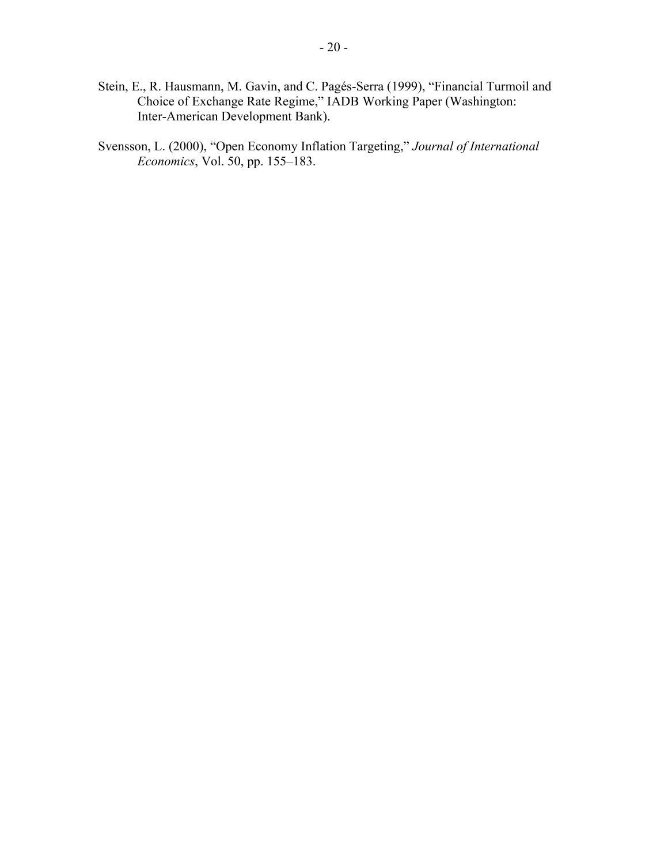- Stein, E., R. Hausmann, M. Gavin, and C. Pagés-Serra (1999), "Financial Turmoil and Choice of Exchange Rate Regime," IADB Working Paper (Washington: Inter-American Development Bank).
- Svensson, L. (2000), "Open Economy Inflation Targeting," *Journal of International Economics*, Vol. 50, pp. 155–183.